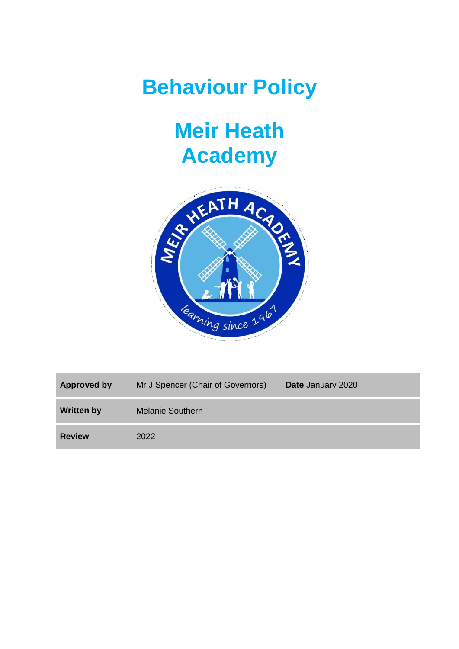## **Behaviour Policy**

## **Meir Heath Academy**



| Approved by       | Mr J Spencer (Chair of Governors) | Date January 2020 |
|-------------------|-----------------------------------|-------------------|
| <b>Written by</b> | <b>Melanie Southern</b>           |                   |
| <b>Review</b>     | 2022                              |                   |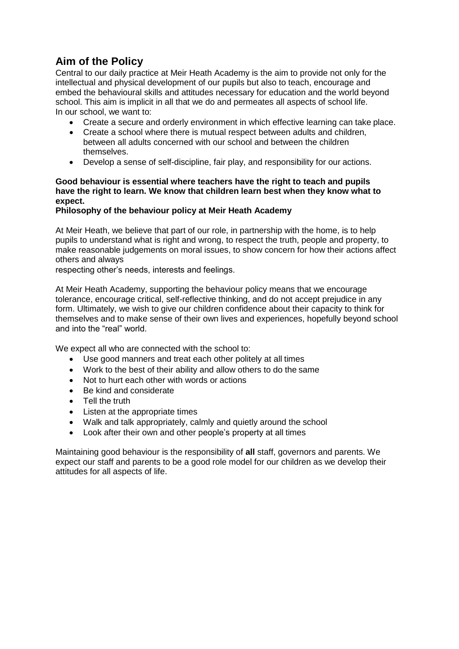## **Aim of the Policy**

Central to our daily practice at Meir Heath Academy is the aim to provide not only for the intellectual and physical development of our pupils but also to teach, encourage and embed the behavioural skills and attitudes necessary for education and the world beyond school. This aim is implicit in all that we do and permeates all aspects of school life. In our school, we want to:

- Create a secure and orderly environment in which effective learning can take place.
- Create a school where there is mutual respect between adults and children, between all adults concerned with our school and between the children themselves.
- Develop a sense of self-discipline, fair play, and responsibility for our actions.

## **Good behaviour is essential where teachers have the right to teach and pupils have the right to learn. We know that children learn best when they know what to expect.**

## **Philosophy of the behaviour policy at Meir Heath Academy**

At Meir Heath, we believe that part of our role, in partnership with the home, is to help pupils to understand what is right and wrong, to respect the truth, people and property, to make reasonable judgements on moral issues, to show concern for how their actions affect others and always

respecting other's needs, interests and feelings.

At Meir Heath Academy, supporting the behaviour policy means that we encourage tolerance, encourage critical, self-reflective thinking, and do not accept prejudice in any form. Ultimately, we wish to give our children confidence about their capacity to think for themselves and to make sense of their own lives and experiences, hopefully beyond school and into the "real" world.

We expect all who are connected with the school to:

- Use good manners and treat each other politely at all times
- Work to the best of their ability and allow others to do the same
- Not to hurt each other with words or actions
- Be kind and considerate
- Tell the truth
- Listen at the appropriate times
- Walk and talk appropriately, calmly and quietly around the school
- Look after their own and other people's property at all times

Maintaining good behaviour is the responsibility of **all** staff, governors and parents. We expect our staff and parents to be a good role model for our children as we develop their attitudes for all aspects of life.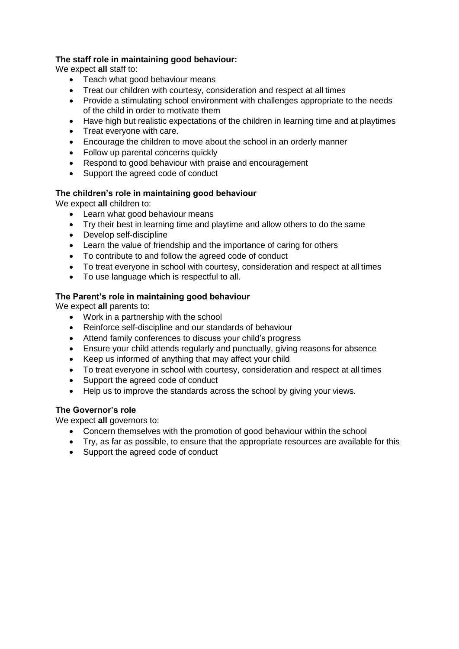## **The staff role in maintaining good behaviour:**

We expect **all** staff to:

- Teach what good behaviour means
- Treat our children with courtesy, consideration and respect at all times
- Provide a stimulating school environment with challenges appropriate to the needs of the child in order to motivate them
- Have high but realistic expectations of the children in learning time and at playtimes
- Treat everyone with care.
- Encourage the children to move about the school in an orderly manner
- Follow up parental concerns quickly
- Respond to good behaviour with praise and encouragement
- Support the agreed code of conduct

## **The children's role in maintaining good behaviour**

We expect **all** children to:

- Learn what good behaviour means
- Try their best in learning time and playtime and allow others to do the same
- Develop self-discipline
- Learn the value of friendship and the importance of caring for others
- To contribute to and follow the agreed code of conduct
- To treat everyone in school with courtesy, consideration and respect at all times
- To use language which is respectful to all.

## **The Parent's role in maintaining good behaviour**

We expect **all** parents to:

- Work in a partnership with the school
- Reinforce self-discipline and our standards of behaviour
- Attend family conferences to discuss your child's progress
- Ensure your child attends regularly and punctually, giving reasons for absence
- Keep us informed of anything that may affect your child
- To treat everyone in school with courtesy, consideration and respect at all times
- Support the agreed code of conduct
- Help us to improve the standards across the school by giving your views.

## **The Governor's role**

We expect **all** governors to:

- Concern themselves with the promotion of good behaviour within the school
- Try, as far as possible, to ensure that the appropriate resources are available for this
- Support the agreed code of conduct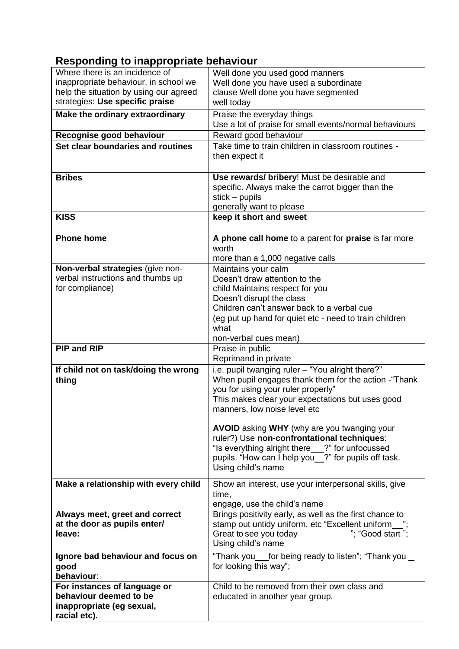## **Responding to inappropriate behaviour**

| Where there is an incidence of         | Well done you used good manners                                                                        |  |
|----------------------------------------|--------------------------------------------------------------------------------------------------------|--|
| inappropriate behaviour, in school we  | Well done you have used a subordinate                                                                  |  |
| help the situation by using our agreed | clause Well done you have segmented                                                                    |  |
| strategies: Use specific praise        | well today                                                                                             |  |
| Make the ordinary extraordinary        | Praise the everyday things                                                                             |  |
|                                        | Use a lot of praise for small events/normal behaviours                                                 |  |
|                                        |                                                                                                        |  |
| Recognise good behaviour               | Reward good behaviour                                                                                  |  |
| Set clear boundaries and routines      | Take time to train children in classroom routines -                                                    |  |
|                                        | then expect it                                                                                         |  |
|                                        |                                                                                                        |  |
| <b>Bribes</b>                          | Use rewards/ bribery! Must be desirable and                                                            |  |
|                                        | specific. Always make the carrot bigger than the                                                       |  |
|                                        | $stick - pupils$                                                                                       |  |
|                                        | generally want to please                                                                               |  |
| <b>KISS</b>                            | keep it short and sweet                                                                                |  |
|                                        |                                                                                                        |  |
| <b>Phone home</b>                      | A phone call home to a parent for praise is far more                                                   |  |
|                                        | worth                                                                                                  |  |
|                                        | more than a 1,000 negative calls                                                                       |  |
| Non-verbal strategies (give non-       | Maintains your calm                                                                                    |  |
| verbal instructions and thumbs up      | Doesn't draw attention to the                                                                          |  |
| for compliance)                        | child Maintains respect for you                                                                        |  |
|                                        | Doesn't disrupt the class                                                                              |  |
|                                        | Children can't answer back to a verbal cue                                                             |  |
|                                        | (eg put up hand for quiet etc - need to train children                                                 |  |
|                                        | what                                                                                                   |  |
|                                        | non-verbal cues mean)                                                                                  |  |
|                                        |                                                                                                        |  |
| <b>PIP and RIP</b>                     |                                                                                                        |  |
|                                        | Praise in public                                                                                       |  |
|                                        | Reprimand in private                                                                                   |  |
| If child not on task/doing the wrong   | i.e. pupil twanging ruler - "You alright there?"                                                       |  |
| thing                                  | When pupil engages thank them for the action - "Thank                                                  |  |
|                                        | you for using your ruler properly"                                                                     |  |
|                                        | This makes clear your expectations but uses good                                                       |  |
|                                        | manners, low noise level etc                                                                           |  |
|                                        |                                                                                                        |  |
|                                        | AVOID asking WHY (why are you twanging your                                                            |  |
|                                        | ruler?) Use non-confrontational techniques:                                                            |  |
|                                        | "Is everything alright there__?" for unfocussed<br>pupils. "How can I help you_?" for pupils off task. |  |
|                                        | Using child's name                                                                                     |  |
|                                        |                                                                                                        |  |
| Make a relationship with every child   | Show an interest, use your interpersonal skills, give                                                  |  |
|                                        | time,                                                                                                  |  |
|                                        | engage, use the child's name                                                                           |  |
| Always meet, greet and correct         | Brings positivity early, as well as the first chance to                                                |  |
| at the door as pupils enter/           | stamp out untidy uniform, etc "Excellent uniform_                                                      |  |
| leave:                                 | Great to see you today________________"; "Good start_";                                                |  |
|                                        | Using child's name                                                                                     |  |
| Ignore bad behaviour and focus on      | "Thank you___for being ready to listen"; "Thank you _                                                  |  |
| good                                   | for looking this way";                                                                                 |  |
| behaviour:                             |                                                                                                        |  |
| For instances of language or           | Child to be removed from their own class and                                                           |  |
| behaviour deemed to be                 | educated in another year group.                                                                        |  |
| inappropriate (eg sexual,              |                                                                                                        |  |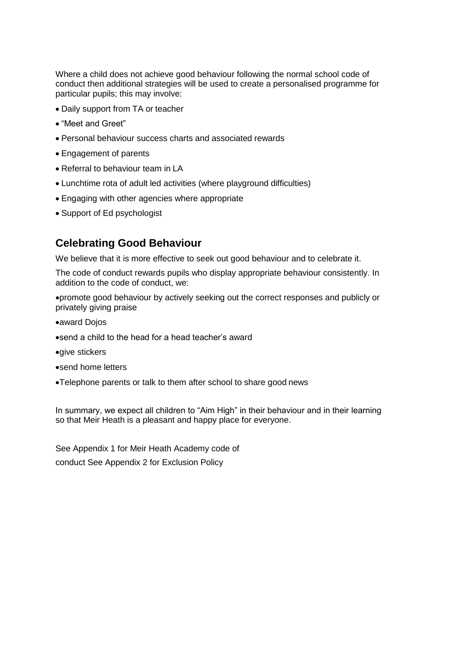Where a child does not achieve good behaviour following the normal school code of conduct then additional strategies will be used to create a personalised programme for particular pupils; this may involve:

- Daily support from TA or teacher
- "Meet and Greet"
- Personal behaviour success charts and associated rewards
- Engagement of parents
- Referral to behaviour team in LA
- Lunchtime rota of adult led activities (where playground difficulties)
- Engaging with other agencies where appropriate
- Support of Ed psychologist

## **Celebrating Good Behaviour**

We believe that it is more effective to seek out good behaviour and to celebrate it.

The code of conduct rewards pupils who display appropriate behaviour consistently. In addition to the code of conduct, we:

promote good behaviour by actively seeking out the correct responses and publicly or privately giving praise

- award Dojos
- send a child to the head for a head teacher's award
- qive stickers
- send home letters
- Telephone parents or talk to them after school to share good news

In summary, we expect all children to "Aim High" in their behaviour and in their learning so that Meir Heath is a pleasant and happy place for everyone.

See Appendix 1 for Meir Heath Academy code of conduct See Appendix 2 for Exclusion Policy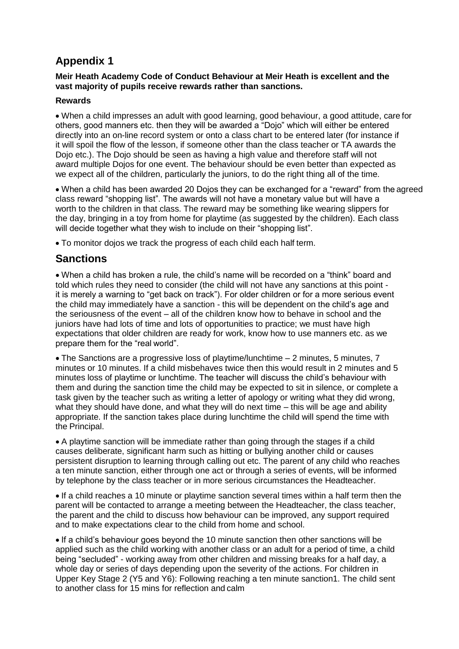## **Appendix 1**

## **Meir Heath Academy Code of Conduct Behaviour at Meir Heath is excellent and the vast majority of pupils receive rewards rather than sanctions.**

## **Rewards**

 When a child impresses an adult with good learning, good behaviour, a good attitude, care for others, good manners etc. then they will be awarded a "Dojo" which will either be entered directly into an on-line record system or onto a class chart to be entered later (for instance if it will spoil the flow of the lesson, if someone other than the class teacher or TA awards the Dojo etc.). The Dojo should be seen as having a high value and therefore staff will not award multiple Dojos for one event. The behaviour should be even better than expected as we expect all of the children, particularly the juniors, to do the right thing all of the time.

 When a child has been awarded 20 Dojos they can be exchanged for a "reward" from the agreed class reward "shopping list". The awards will not have a monetary value but will have a worth to the children in that class. The reward may be something like wearing slippers for the day, bringing in a toy from home for playtime (as suggested by the children). Each class will decide together what they wish to include on their "shopping list".

To monitor dojos we track the progress of each child each half term.

## **Sanctions**

 When a child has broken a rule, the child's name will be recorded on a "think" board and told which rules they need to consider (the child will not have any sanctions at this point it is merely a warning to "get back on track"). For older children or for a more serious event the child may immediately have a sanction - this will be dependent on the child's age and the seriousness of the event – all of the children know how to behave in school and the juniors have had lots of time and lots of opportunities to practice; we must have high expectations that older children are ready for work, know how to use manners etc. as we prepare them for the "real world".

 The Sanctions are a progressive loss of playtime/lunchtime – 2 minutes, 5 minutes, 7 minutes or 10 minutes. If a child misbehaves twice then this would result in 2 minutes and 5 minutes loss of playtime or lunchtime. The teacher will discuss the child's behaviour with them and during the sanction time the child may be expected to sit in silence, or complete a task given by the teacher such as writing a letter of apology or writing what they did wrong, what they should have done, and what they will do next time – this will be age and ability appropriate. If the sanction takes place during lunchtime the child will spend the time with the Principal.

 A playtime sanction will be immediate rather than going through the stages if a child causes deliberate, significant harm such as hitting or bullying another child or causes persistent disruption to learning through calling out etc. The parent of any child who reaches a ten minute sanction, either through one act or through a series of events, will be informed by telephone by the class teacher or in more serious circumstances the Headteacher.

 If a child reaches a 10 minute or playtime sanction several times within a half term then the parent will be contacted to arrange a meeting between the Headteacher, the class teacher, the parent and the child to discuss how behaviour can be improved, any support required and to make expectations clear to the child from home and school.

• If a child's behaviour goes beyond the 10 minute sanction then other sanctions will be applied such as the child working with another class or an adult for a period of time, a child being "secluded" - working away from other children and missing breaks for a half day, a whole day or series of days depending upon the severity of the actions. For children in Upper Key Stage 2 (Y5 and Y6): Following reaching a ten minute sanction1. The child sent to another class for 15 mins for reflection and calm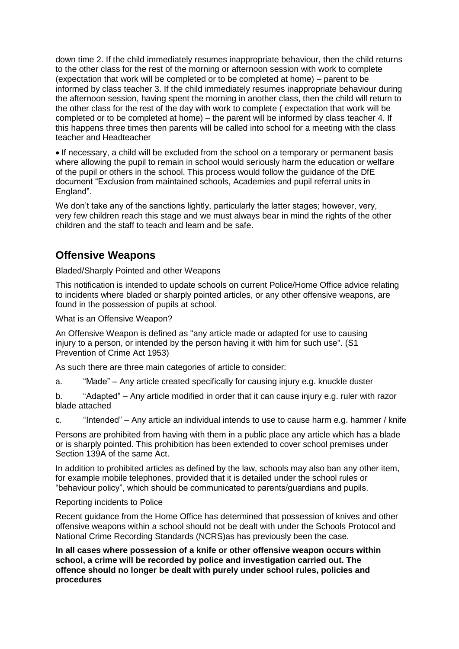down time 2. If the child immediately resumes inappropriate behaviour, then the child returns to the other class for the rest of the morning or afternoon session with work to complete (expectation that work will be completed or to be completed at home) – parent to be informed by class teacher 3. If the child immediately resumes inappropriate behaviour during the afternoon session, having spent the morning in another class, then the child will return to the other class for the rest of the day with work to complete ( expectation that work will be completed or to be completed at home) – the parent will be informed by class teacher 4. If this happens three times then parents will be called into school for a meeting with the class teacher and Headteacher

 If necessary, a child will be excluded from the school on a temporary or permanent basis where allowing the pupil to remain in school would seriously harm the education or welfare of the pupil or others in the school. This process would follow the guidance of the DfE document "Exclusion from maintained schools, Academies and pupil referral units in England".

We don't take any of the sanctions lightly, particularly the latter stages; however, very, very few children reach this stage and we must always bear in mind the rights of the other children and the staff to teach and learn and be safe.

## **Offensive Weapons**

Bladed/Sharply Pointed and other Weapons

This notification is intended to update schools on current Police/Home Office advice relating to incidents where bladed or sharply pointed articles, or any other offensive weapons, are found in the possession of pupils at school.

What is an Offensive Weapon?

An Offensive Weapon is defined as "any article made or adapted for use to causing injury to a person, or intended by the person having it with him for such use". (S1 Prevention of Crime Act 1953)

As such there are three main categories of article to consider:

a. "Made" – Any article created specifically for causing injury e.g. knuckle duster

b. "Adapted" – Any article modified in order that it can cause injury e.g. ruler with razor blade attached

c. "Intended" – Any article an individual intends to use to cause harm e.g. hammer / knife

Persons are prohibited from having with them in a public place any article which has a blade or is sharply pointed. This prohibition has been extended to cover school premises under Section 139A of the same Act.

In addition to prohibited articles as defined by the law, schools may also ban any other item, for example mobile telephones, provided that it is detailed under the school rules or "behaviour policy", which should be communicated to parents/guardians and pupils.

## Reporting incidents to Police

Recent guidance from the Home Office has determined that possession of knives and other offensive weapons within a school should not be dealt with under the Schools Protocol and National Crime Recording Standards (NCRS)as has previously been the case.

**In all cases where possession of a knife or other offensive weapon occurs within school, a crime will be recorded by police and investigation carried out. The offence should no longer be dealt with purely under school rules, policies and procedures**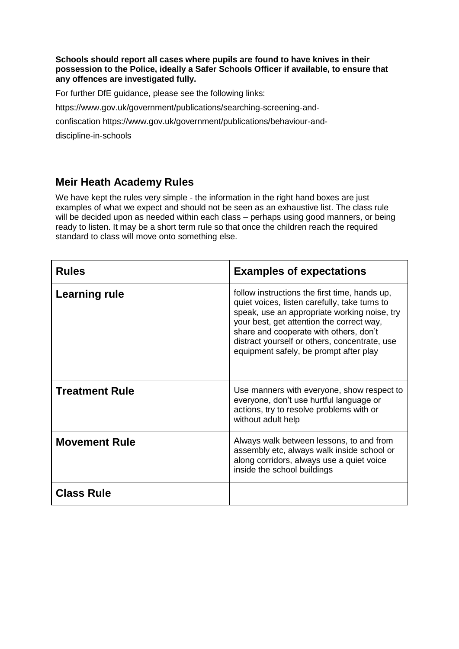#### **Schools should report all cases where pupils are found to have knives in their possession to the Police, ideally a Safer Schools Officer if available, to ensure that any offences are investigated fully.**

For further DfE guidance, please see the following links:

https:/[/www.gov.uk/government/publications/searching-screening-and-](http://www.gov.uk/government/publications/searching-screening-and-confiscation)

[confiscation](http://www.gov.uk/government/publications/searching-screening-and-confiscation) https:/[/www.gov.uk/government/publications/behaviour-and-](http://www.gov.uk/government/publications/behaviour-and-discipline-in-schools)

[discipline-in-schools](http://www.gov.uk/government/publications/behaviour-and-discipline-in-schools)

## **Meir Heath Academy Rules**

We have kept the rules very simple - the information in the right hand boxes are just examples of what we expect and should not be seen as an exhaustive list. The class rule will be decided upon as needed within each class – perhaps using good manners, or being ready to listen. It may be a short term rule so that once the children reach the required standard to class will move onto something else.

| <b>Rules</b>          | <b>Examples of expectations</b>                                                                                                                                                                                                                                                                                                  |
|-----------------------|----------------------------------------------------------------------------------------------------------------------------------------------------------------------------------------------------------------------------------------------------------------------------------------------------------------------------------|
| Learning rule         | follow instructions the first time, hands up,<br>quiet voices, listen carefully, take turns to<br>speak, use an appropriate working noise, try<br>your best, get attention the correct way,<br>share and cooperate with others, don't<br>distract yourself or others, concentrate, use<br>equipment safely, be prompt after play |
| <b>Treatment Rule</b> | Use manners with everyone, show respect to<br>everyone, don't use hurtful language or<br>actions, try to resolve problems with or<br>without adult help                                                                                                                                                                          |
| <b>Movement Rule</b>  | Always walk between lessons, to and from<br>assembly etc, always walk inside school or<br>along corridors, always use a quiet voice<br>inside the school buildings                                                                                                                                                               |
| <b>Class Rule</b>     |                                                                                                                                                                                                                                                                                                                                  |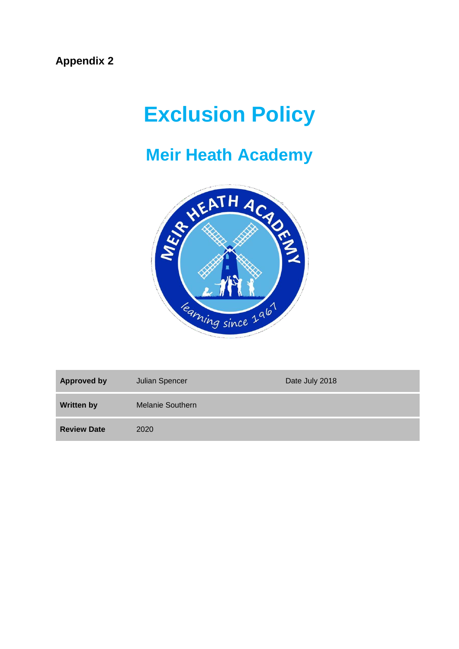# **Exclusion Policy**

## **Meir Heath Academy**



| <b>Approved by</b> | Julian Spencer          | Date July 2018 |
|--------------------|-------------------------|----------------|
| <b>Written by</b>  | <b>Melanie Southern</b> |                |
| <b>Review Date</b> | 2020                    |                |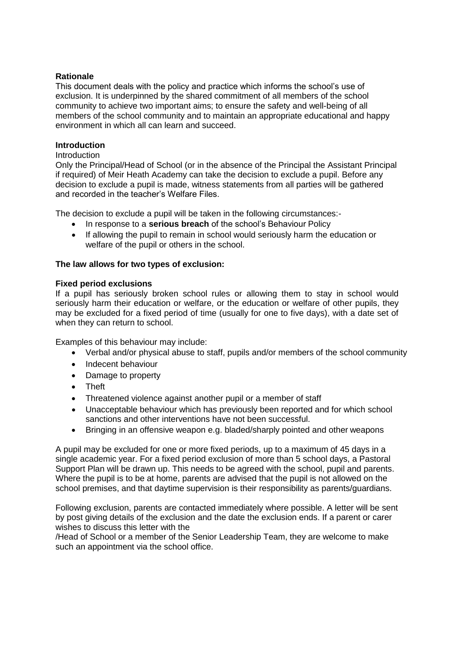## **Rationale**

This document deals with the policy and practice which informs the school's use of exclusion. It is underpinned by the shared commitment of all members of the school community to achieve two important aims; to ensure the safety and well-being of all members of the school community and to maintain an appropriate educational and happy environment in which all can learn and succeed.

#### **Introduction**

#### Introduction

Only the Principal/Head of School (or in the absence of the Principal the Assistant Principal if required) of Meir Heath Academy can take the decision to exclude a pupil. Before any decision to exclude a pupil is made, witness statements from all parties will be gathered and recorded in the teacher's Welfare Files.

The decision to exclude a pupil will be taken in the following circumstances:-

- In response to a **serious breach** of the school's Behaviour Policy
- If allowing the pupil to remain in school would seriously harm the education or welfare of the pupil or others in the school.

#### **The law allows for two types of exclusion:**

#### **Fixed period exclusions**

If a pupil has seriously broken school rules or allowing them to stay in school would seriously harm their education or welfare, or the education or welfare of other pupils, they may be excluded for a fixed period of time (usually for one to five days), with a date set of when they can return to school.

Examples of this behaviour may include:

- Verbal and/or physical abuse to staff, pupils and/or members of the school community
- Indecent behaviour
- Damage to property
- Theft
- Threatened violence against another pupil or a member of staff
- Unacceptable behaviour which has previously been reported and for which school sanctions and other interventions have not been successful.
- Bringing in an offensive weapon e.g. bladed/sharply pointed and other weapons

A pupil may be excluded for one or more fixed periods, up to a maximum of 45 days in a single academic year. For a fixed period exclusion of more than 5 school days, a Pastoral Support Plan will be drawn up. This needs to be agreed with the school, pupil and parents. Where the pupil is to be at home, parents are advised that the pupil is not allowed on the school premises, and that daytime supervision is their responsibility as parents/guardians.

Following exclusion, parents are contacted immediately where possible. A letter will be sent by post giving details of the exclusion and the date the exclusion ends. If a parent or carer wishes to discuss this letter with the

/Head of School or a member of the Senior Leadership Team, they are welcome to make such an appointment via the school office.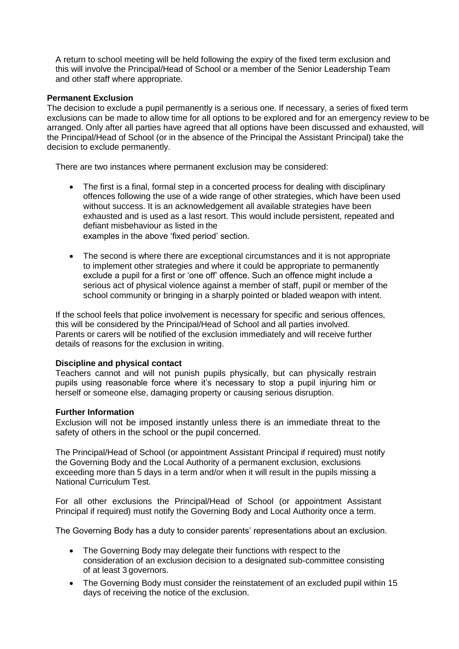A return to school meeting will be held following the expiry of the fixed term exclusion and this will involve the Principal/Head of School or a member of the Senior Leadership Team and other staff where appropriate.

#### **Permanent Exclusion**

The decision to exclude a pupil permanently is a serious one. If necessary, a series of fixed term exclusions can be made to allow time for all options to be explored and for an emergency review to be arranged. Only after all parties have agreed that all options have been discussed and exhausted, will the Principal/Head of School (or in the absence of the Principal the Assistant Principal) take the decision to exclude permanently.

There are two instances where permanent exclusion may be considered:

- The first is a final, formal step in a concerted process for dealing with disciplinary offences following the use of a wide range of other strategies, which have been used without success. It is an acknowledgement all available strategies have been exhausted and is used as a last resort. This would include persistent, repeated and defiant misbehaviour as listed in the examples in the above 'fixed period' section.
- The second is where there are exceptional circumstances and it is not appropriate to implement other strategies and where it could be appropriate to permanently exclude a pupil for a first or 'one off' offence. Such an offence might include a serious act of physical violence against a member of staff, pupil or member of the school community or bringing in a sharply pointed or bladed weapon with intent.

If the school feels that police involvement is necessary for specific and serious offences, this will be considered by the Principal/Head of School and all parties involved. Parents or carers will be notified of the exclusion immediately and will receive further details of reasons for the exclusion in writing.

## **Discipline and physical contact**

Teachers cannot and will not punish pupils physically, but can physically restrain pupils using reasonable force where it's necessary to stop a pupil injuring him or herself or someone else, damaging property or causing serious disruption.

#### **Further Information**

Exclusion will not be imposed instantly unless there is an immediate threat to the safety of others in the school or the pupil concerned.

The Principal/Head of School (or appointment Assistant Principal if required) must notify the Governing Body and the Local Authority of a permanent exclusion, exclusions exceeding more than 5 days in a term and/or when it will result in the pupils missing a National Curriculum Test.

For all other exclusions the Principal/Head of School (or appointment Assistant Principal if required) must notify the Governing Body and Local Authority once a term.

The Governing Body has a duty to consider parents' representations about an exclusion.

- The Governing Body may delegate their functions with respect to the consideration of an exclusion decision to a designated sub-committee consisting of at least 3 governors.
- The Governing Body must consider the reinstatement of an excluded pupil within 15 days of receiving the notice of the exclusion.